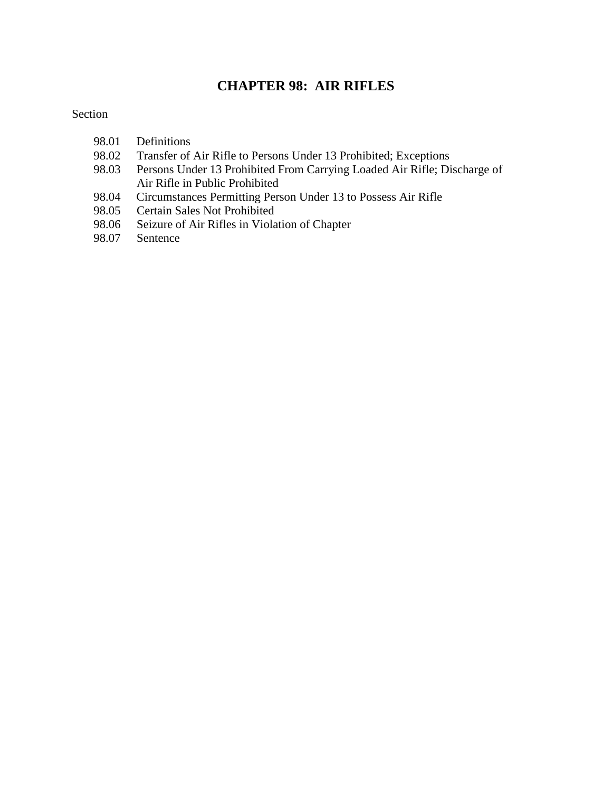# **CHAPTER 98: AIR RIFLES**

#### Section

- 98.01 Definitions
- 98.02 Transfer of Air Rifle to Persons Under 13 Prohibited; Exceptions<br>98.03 Persons Under 13 Prohibited From Carrying Loaded Air Rifle; Di
- Persons Under 13 Prohibited From Carrying Loaded Air Rifle; Discharge of Air Rifle in Public Prohibited
- 98.04 Circumstances Permitting Person Under 13 to Possess Air Rifle
- 98.05 Certain Sales Not Prohibited
- 98.06 Seizure of Air Rifles in Violation of Chapter<br>98.07 Sentence
- Sentence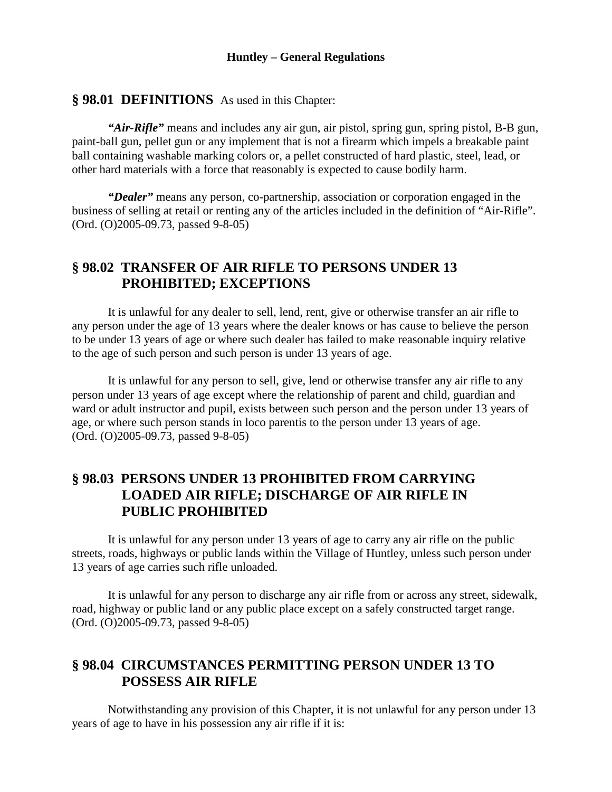#### **Huntley – General Regulations**

## **§ 98.01 DEFINITIONS** As used in this Chapter:

*"Air-Rifle"* means and includes any air gun, air pistol, spring gun, spring pistol, B-B gun, paint-ball gun, pellet gun or any implement that is not a firearm which impels a breakable paint ball containing washable marking colors or, a pellet constructed of hard plastic, steel, lead, or other hard materials with a force that reasonably is expected to cause bodily harm.

*"Dealer"* means any person, co-partnership, association or corporation engaged in the business of selling at retail or renting any of the articles included in the definition of "Air-Rifle". (Ord. (O)2005-09.73, passed 9-8-05)

## **§ 98.02 TRANSFER OF AIR RIFLE TO PERSONS UNDER 13 PROHIBITED; EXCEPTIONS**

It is unlawful for any dealer to sell, lend, rent, give or otherwise transfer an air rifle to any person under the age of 13 years where the dealer knows or has cause to believe the person to be under 13 years of age or where such dealer has failed to make reasonable inquiry relative to the age of such person and such person is under 13 years of age.

It is unlawful for any person to sell, give, lend or otherwise transfer any air rifle to any person under 13 years of age except where the relationship of parent and child, guardian and ward or adult instructor and pupil, exists between such person and the person under 13 years of age, or where such person stands in loco parentis to the person under 13 years of age. (Ord. (O)2005-09.73, passed 9-8-05)

## **§ 98.03 PERSONS UNDER 13 PROHIBITED FROM CARRYING LOADED AIR RIFLE; DISCHARGE OF AIR RIFLE IN PUBLIC PROHIBITED**

It is unlawful for any person under 13 years of age to carry any air rifle on the public streets, roads, highways or public lands within the Village of Huntley, unless such person under 13 years of age carries such rifle unloaded.

It is unlawful for any person to discharge any air rifle from or across any street, sidewalk, road, highway or public land or any public place except on a safely constructed target range. (Ord. (O)2005-09.73, passed 9-8-05)

# **§ 98.04 CIRCUMSTANCES PERMITTING PERSON UNDER 13 TO POSSESS AIR RIFLE**

Notwithstanding any provision of this Chapter, it is not unlawful for any person under 13 years of age to have in his possession any air rifle if it is: